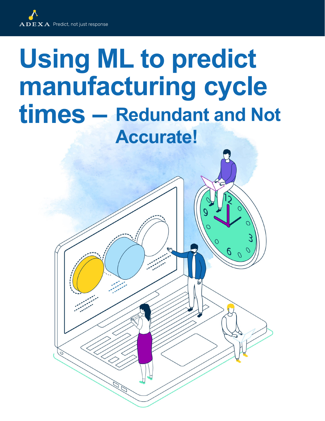

## **Using ML to predict manufacturing cycle times – Redundant and Not Accurate!**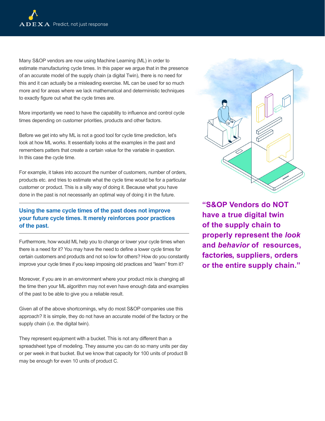Many S&OP vendors are now using Machine Learning (ML) in order to estimate manufacturing cycle times. In this paper we argue that in the presence of an accurate model of the supply chain (a digital Twin), there is no need for this and it can actually be a misleading exercise. ML can be used for so much more and for areas where we lack mathematical and deterministic techniques to exactly figure out what the cycle times are.

More importantly we need to have the capability to influence and control cycle times depending on customer priorities, products and other factors.

Before we get into why ML is not a good tool for cycle time prediction, let's look at how ML works. It essentially looks at the examples in the past and remembers patters that create a certain value for the variable in question. In this case the cycle time.

For example, it takes into account the number of customers, number of orders, products etc. and tries to estimate what the cycle time would be for a particular customer or product. This is a silly way of doing it. Because what you have done in the past is not necessarily an optimal way of doing it in the future.

## **Using the same cycle times of the past does not improve your future cycle times. It merely reinforces poor practices of the past.**

Furthermore, how would ML help you to change or lower your cycle times when there is a need for it? You may have the need to define a lower cycle times for certain customers and products and not so low for others? How do you constantly improve your cycle times if you keep imposing old practices and "learn" from it?

Moreover, if you are in an environment where your product mix is changing all the time then your ML algorithm may not even have enough data and examples of the past to be able to give you a reliable result.

Given all of the above shortcomings, why do most S&OP companies use this approach? It is simple, they do not have an accurate model of the factory or the supply chain (i.e. the digital twin).

They represent equipment with a bucket. This is not any different than a spreadsheet type of modeling. They assume you can do so many units per day or per week in that bucket. But we know that capacity for 100 units of product B may be enough for even 10 units of product C.



**"S&OP Vendors do NOT have a true digital twin of the supply chain to properly represent the** *look* **and** *behavior* **of resources, factories, suppliers, orders or the entire supply chain."**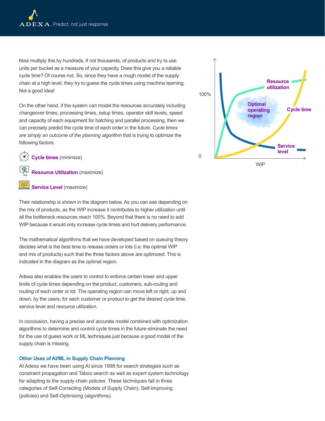Now multiply this by hundreds, if not thousands, of products and try to use units per bucket as a measure of your capacity. Does this give you a reliable cycle time? Of course not. So, since they have a rough model of the supply chain at a high level, they try to guess the cycle times using machine learning. Not a good idea!

On the other hand, if the system can model the resources accurately including changeover times, processing times, setup times, operator skill levels, speed and capacity of each equipment for batching and parallel processing, then we can precisely predict the cycle time of each order in the future. *Cycle times are simply an outcome of the planning algorithm* that is trying to optimize the following factors.

**Cycle times** (minimize)

**Resource Utilization** (maximize)

## **Service Level** (maximize)

Their relationship is shown in the diagram below. As you can see depending on the mix of products, as the WIP increase it contributes to higher utilization until all the bottleneck resources reach 100%. Beyond that there is no need to add WIP because it would only increase cycle times and hurt delivery performance.

The mathematical algorithms that we have developed based on queuing theory decides what is the best time to release orders or lots (i.e. the optimal WIP and mix of products) such that the three factors above are optimized. This is indicated in the diagram as the optimal region.

Adexa also enables the users to control to enforce certain lower and upper limits of cycle times depending on the product, customers, sub-routing and routing of each order or lot. The operating region can move left or right, up and down, by the users, for each customer or product to get the desired cycle time, service level and resource utilization.

In conclusion, having a precise and accurate model combined with optimization algorithms to determine and control cycle times in the future eliminate the need for the use of guess work or ML techniques just because a good model of the supply chain is missing.

## **Other Uses of AI/ML in Supply Chain Planning**

At Adexa we have been using AI since 1998 for search strategies such as constraint propagation and Taboo search as well as expert system technology for adapting to the supply chain policies. These techniques fall in three categories of Self-Correcting (Models of Supply Chain), Self-Improving (policies) and Self-Optimizing (algorithms).